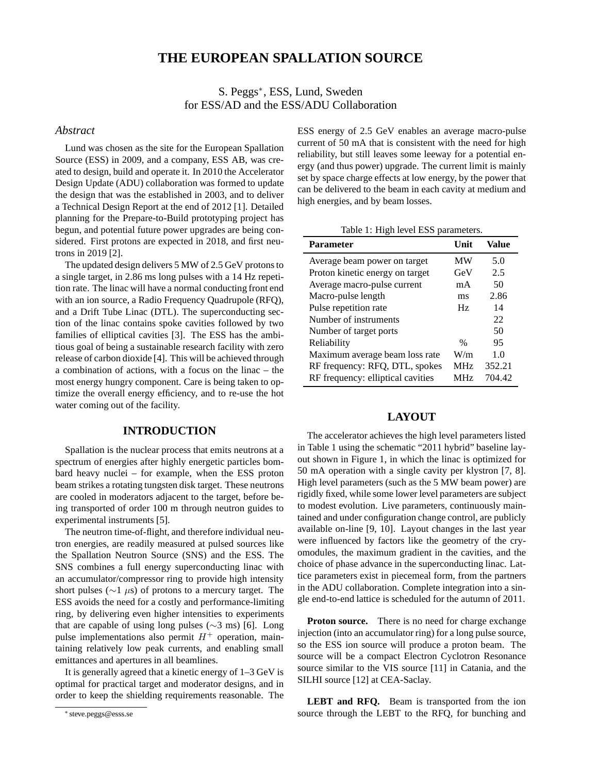# **THE EUROPEAN SPALLATION SOURCE**

S. Peggs<sup>∗</sup> , ESS, Lund, Sweden for ESS/AD and the ESS/ADU Collaboration

#### *Abstract*

Lund was chosen as the site for the European Spallation Source (ESS) in 2009, and a company, ESS AB, was created to design, build and operate it. In 2010 the Accelerator Design Update (ADU) collaboration was formed to update the design that was the established in 2003, and to deliver a Technical Design Report at the end of 2012 [1]. Detailed planning for the Prepare-to-Build prototyping project has begun, and potential future power upgrades are being considered. First protons are expected in 2018, and first neutrons in 2019 [2].

The updated design delivers 5 MW of 2.5 GeV protons to a single target, in 2.86 ms long pulses with a 14 Hz repetition rate. The linac will have a normal conducting front end with an ion source, a Radio Frequency Quadrupole (RFQ), and a Drift Tube Linac (DTL). The superconducting section of the linac contains spoke cavities followed by two families of elliptical cavities [3]. The ESS has the ambitious goal of being a sustainable research facility with zero release of carbon dioxide [4]. This will be achieved through a combination of actions, with a focus on the linac – the most energy hungry component. Care is being taken to optimize the overall energy efficiency, and to re-use the hot water coming out of the facility.

### **INTRODUCTION**

Spallation is the nuclear process that emits neutrons at a spectrum of energies after highly energetic particles bombard heavy nuclei – for example, when the ESS proton beam strikes a rotating tungsten disk target. These neutrons are cooled in moderators adjacent to the target, before being transported of order 100 m through neutron guides to experimental instruments [5].

The neutron time-of-flight, and therefore individual neutron energies, are readily measured at pulsed sources like the Spallation Neutron Source (SNS) and the ESS. The SNS combines a full energy superconducting linac with an accumulator/compressor ring to provide high intensity short pulses ( $\sim$ 1  $\mu$ s) of protons to a mercury target. The ESS avoids the need for a costly and performance-limiting ring, by delivering even higher intensities to experiments that are capable of using long pulses (∼3 ms) [6]. Long pulse implementations also permit  $H^+$  operation, maintaining relatively low peak currents, and enabling small emittances and apertures in all beamlines.

It is generally agreed that a kinetic energy of 1–3 GeV is optimal for practical target and moderator designs, and in order to keep the shielding requirements reasonable. The ESS energy of 2.5 GeV enables an average macro-pulse current of 50 mA that is consistent with the need for high reliability, but still leaves some leeway for a potential energy (and thus power) upgrade. The current limit is mainly set by space charge effects at low energy, by the power that can be delivered to the beam in each cavity at medium and high energies, and by beam losses.

Table 1: High level ESS parameters.

| <b>Parameter</b>                  | Unit.      | Value  |
|-----------------------------------|------------|--------|
| Average beam power on target      | МW         | 5.0    |
| Proton kinetic energy on target   | GeV        | 2.5    |
| Average macro-pulse current       | mA         | 50     |
| Macro-pulse length                | ms         | 2.86   |
| Pulse repetition rate             | Hz         | 14     |
| Number of instruments             |            | 22     |
| Number of target ports            |            | 50     |
| Reliability                       | $\%$       | 95     |
| Maximum average beam loss rate    | W/m        | 1.0    |
| RF frequency: RFQ, DTL, spokes    | <b>MHz</b> | 352.21 |
| RF frequency: elliptical cavities | <b>MHz</b> | 704.42 |

## **LAYOUT**

The accelerator achieves the high level parameters listed in Table 1 using the schematic "2011 hybrid" baseline layout shown in Figure 1, in which the linac is optimized for 50 mA operation with a single cavity per klystron [7, 8]. High level parameters (such as the 5 MW beam power) are rigidly fixed, while some lower level parameters are subject to modest evolution. Live parameters, continuously maintained and under configuration change control, are publicly available on-line [9, 10]. Layout changes in the last year were influenced by factors like the geometry of the cryomodules, the maximum gradient in the cavities, and the choice of phase advance in the superconducting linac. Lattice parameters exist in piecemeal form, from the partners in the ADU collaboration. Complete integration into a single end-to-end lattice is scheduled for the autumn of 2011.

**Proton source.** There is no need for charge exchange injection (into an accumulator ring) for a long pulse source, so the ESS ion source will produce a proton beam. The source will be a compact Electron Cyclotron Resonance source similar to the VIS source [11] in Catania, and the SILHI source [12] at CEA-Saclay.

**LEBT and RFQ.** Beam is transported from the ion source through the LEBT to the RFQ, for bunching and

<sup>∗</sup> steve.peggs@esss.se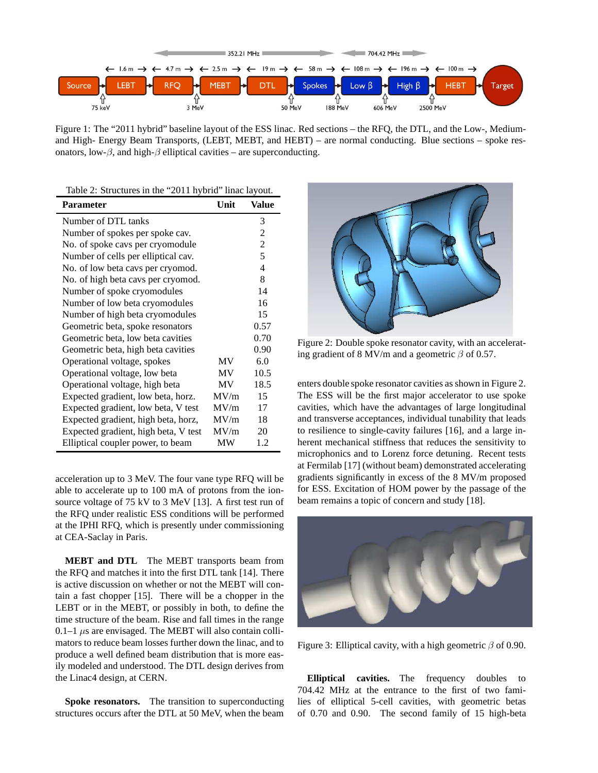

Figure 1: The "2011 hybrid" baseline layout of the ESS linac. Red sections – the RFQ, the DTL, and the Low-, Mediumand High- Energy Beam Transports, (LEBT, MEBT, and HEBT) – are normal conducting. Blue sections – spoke resonators, low- $\beta$ , and high- $\beta$  elliptical cavities – are superconducting.

| Table 2: Structures in the "2011 hybrid" linac layout. |  |  |  |
|--------------------------------------------------------|--|--|--|
|                                                        |  |  |  |

| <b>Parameter</b>                     | Unit | Value |
|--------------------------------------|------|-------|
| Number of DTL tanks                  |      | 3     |
| Number of spokes per spoke cav.      |      | 2     |
| No. of spoke cavs per cryomodule     |      | 2     |
| Number of cells per elliptical cav.  |      | 5     |
| No. of low beta cavs per cryomod.    |      | 4     |
| No. of high beta cavs per cryomod.   |      | 8     |
| Number of spoke cryomodules          |      | 14    |
| Number of low beta cryomodules       |      | 16    |
| Number of high beta cryomodules      |      | 15    |
| Geometric beta, spoke resonators     |      | 0.57  |
| Geometric beta, low beta cavities    |      | 0.70  |
| Geometric beta, high beta cavities   |      | 0.90  |
| Operational voltage, spokes          | MV   | 6.0   |
| Operational voltage, low beta        | MV   | 10.5  |
| Operational voltage, high beta       | MV   | 18.5  |
| Expected gradient, low beta, horz.   | MV/m | 15    |
| Expected gradient, low beta, V test  | MV/m | 17    |
| Expected gradient, high beta, horz,  | MV/m | 18    |
| Expected gradient, high beta, V test | MV/m | 20    |
| Elliptical coupler power, to beam    | МW   | 1.2   |

acceleration up to 3 MeV. The four vane type RFQ will be able to accelerate up to 100 mA of protons from the ionsource voltage of 75 kV to 3 MeV [13]. A first test run of the RFQ under realistic ESS conditions will be performed at the IPHI RFQ, which is presently under commissioning at CEA-Saclay in Paris.

**MEBT and DTL** The MEBT transports beam from the RFQ and matches it into the first DTL tank [14]. There is active discussion on whether or not the MEBT will contain a fast chopper [15]. There will be a chopper in the LEBT or in the MEBT, or possibly in both, to define the time structure of the beam. Rise and fall times in the range 0.1–1  $\mu$ s are envisaged. The MEBT will also contain collimators to reduce beam losses further down the linac, and to produce a well defined beam distribution that is more easily modeled and understood. The DTL design derives from the Linac4 design, at CERN.

**Spoke resonators.** The transition to superconducting structures occurs after the DTL at 50 MeV, when the beam



Figure 2: Double spoke resonator cavity, with an accelerating gradient of 8 MV/m and a geometric  $\beta$  of 0.57.

enters double spoke resonator cavities as shown in Figure 2. The ESS will be the first major accelerator to use spoke cavities, which have the advantages of large longitudinal and transverse acceptances, individual tunability that leads to resilience to single-cavity failures [16], and a large inherent mechanical stiffness that reduces the sensitivity to microphonics and to Lorenz force detuning. Recent tests at Fermilab [17] (without beam) demonstrated accelerating gradients significantly in excess of the 8 MV/m proposed for ESS. Excitation of HOM power by the passage of the beam remains a topic of concern and study [18].



Figure 3: Elliptical cavity, with a high geometric  $\beta$  of 0.90.

**Elliptical cavities.** The frequency doubles to 704.42 MHz at the entrance to the first of two families of elliptical 5-cell cavities, with geometric betas of 0.70 and 0.90. The second family of 15 high-beta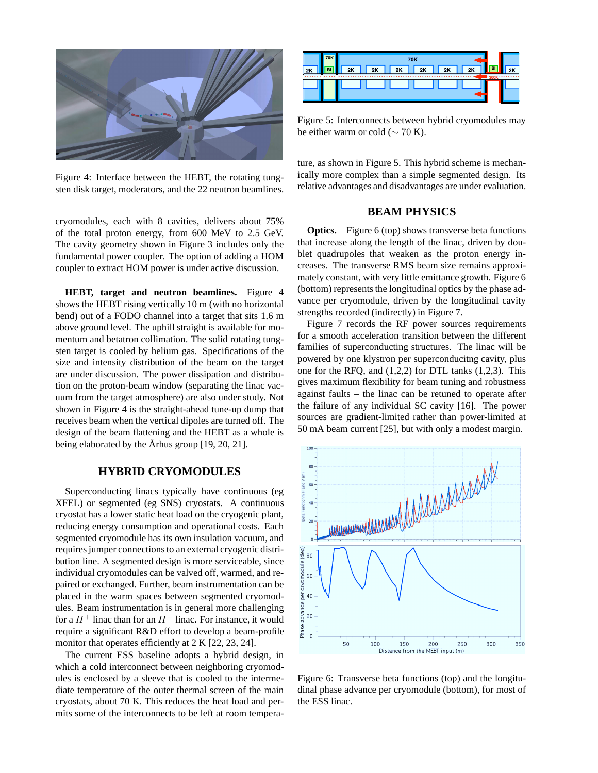

Figure 4: Interface between the HEBT, the rotating tungsten disk target, moderators, and the 22 neutron beamlines.

cryomodules, each with 8 cavities, delivers about 75% of the total proton energy, from 600 MeV to 2.5 GeV. The cavity geometry shown in Figure 3 includes only the fundamental power coupler. The option of adding a HOM coupler to extract HOM power is under active discussion.

**HEBT, target and neutron beamlines.** Figure 4 shows the HEBT rising vertically 10 m (with no horizontal bend) out of a FODO channel into a target that sits 1.6 m above ground level. The uphill straight is available for momentum and betatron collimation. The solid rotating tungsten target is cooled by helium gas. Specifications of the size and intensity distribution of the beam on the target are under discussion. The power dissipation and distribution on the proton-beam window (separating the linac vacuum from the target atmosphere) are also under study. Not shown in Figure 4 is the straight-ahead tune-up dump that receives beam when the vertical dipoles are turned off. The design of the beam flattening and the HEBT as a whole is being elaborated by the Århus group  $[19, 20, 21]$ .

#### **HYBRID CRYOMODULES**

Superconducting linacs typically have continuous (eg XFEL) or segmented (eg SNS) cryostats. A continuous cryostat has a lower static heat load on the cryogenic plant, reducing energy consumption and operational costs. Each segmented cryomodule has its own insulation vacuum, and requires jumper connections to an external cryogenic distribution line. A segmented design is more serviceable, since individual cryomodules can be valved off, warmed, and repaired or exchanged. Further, beam instrumentation can be placed in the warm spaces between segmented cryomodules. Beam instrumentation is in general more challenging for a  $H^+$  linac than for an  $H^-$  linac. For instance, it would require a significant R&D effort to develop a beam-profile monitor that operates efficiently at 2 K [22, 23, 24].

The current ESS baseline adopts a hybrid design, in which a cold interconnect between neighboring cryomodules is enclosed by a sleeve that is cooled to the intermediate temperature of the outer thermal screen of the main cryostats, about 70 K. This reduces the heat load and permits some of the interconnects to be left at room tempera-



Figure 5: Interconnects between hybrid cryomodules may be either warm or cold ( $\sim$  70 K).

ture, as shown in Figure 5. This hybrid scheme is mechanically more complex than a simple segmented design. Its relative advantages and disadvantages are under evaluation.

#### **BEAM PHYSICS**

**Optics.** Figure 6 (top) shows transverse beta functions that increase along the length of the linac, driven by doublet quadrupoles that weaken as the proton energy increases. The transverse RMS beam size remains approximately constant, with very little emittance growth. Figure 6 (bottom) represents the longitudinal optics by the phase advance per cryomodule, driven by the longitudinal cavity strengths recorded (indirectly) in Figure 7.

Figure 7 records the RF power sources requirements for a smooth acceleration transition between the different families of superconducting structures. The linac will be powered by one klystron per superconducitng cavity, plus one for the RFQ, and (1,2,2) for DTL tanks (1,2,3). This gives maximum flexibility for beam tuning and robustness against faults – the linac can be retuned to operate after the failure of any individual SC cavity [16]. The power sources are gradient-limited rather than power-limited at 50 mA beam current [25], but with only a modest margin.



Figure 6: Transverse beta functions (top) and the longitudinal phase advance per cryomodule (bottom), for most of the ESS linac.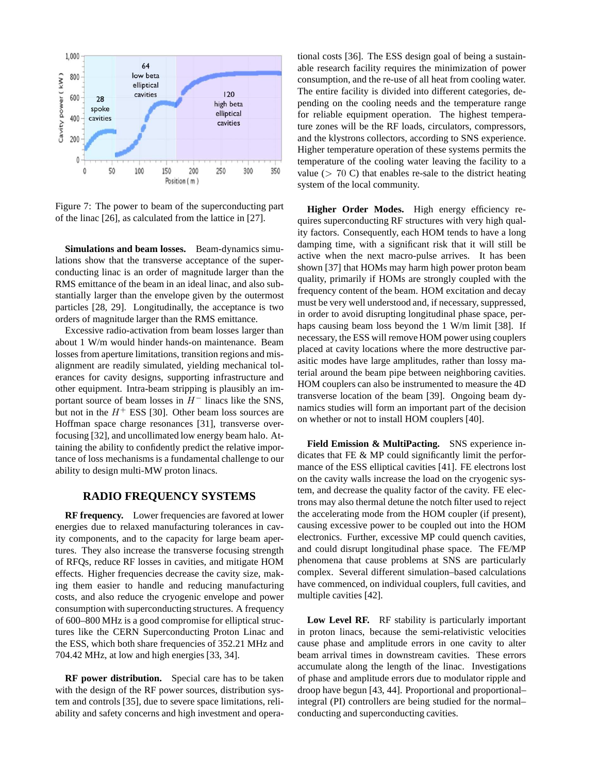

Figure 7: The power to beam of the superconducting part of the linac [26], as calculated from the lattice in [27].

**Simulations and beam losses.** Beam-dynamics simulations show that the transverse acceptance of the superconducting linac is an order of magnitude larger than the RMS emittance of the beam in an ideal linac, and also substantially larger than the envelope given by the outermost particles [28, 29]. Longitudinally, the acceptance is two orders of magnitude larger than the RMS emittance.

Excessive radio-activation from beam losses larger than about 1 W/m would hinder hands-on maintenance. Beam losses from aperture limitations, transition regions and misalignment are readily simulated, yielding mechanical tolerances for cavity designs, supporting infrastructure and other equipment. Intra-beam stripping is plausibly an important source of beam losses in  $H^-$  linacs like the SNS, but not in the  $H^+$  ESS [30]. Other beam loss sources are Hoffman space charge resonances [31], transverse overfocusing [32], and uncollimated low energy beam halo. Attaining the ability to confidently predict the relative importance of loss mechanisms is a fundamental challenge to our ability to design multi-MW proton linacs.

## **RADIO FREQUENCY SYSTEMS**

**RF frequency.** Lower frequencies are favored at lower energies due to relaxed manufacturing tolerances in cavity components, and to the capacity for large beam apertures. They also increase the transverse focusing strength of RFQs, reduce RF losses in cavities, and mitigate HOM effects. Higher frequencies decrease the cavity size, making them easier to handle and reducing manufacturing costs, and also reduce the cryogenic envelope and power consumption with superconducting structures. A frequency of 600–800 MHz is a good compromise for elliptical structures like the CERN Superconducting Proton Linac and the ESS, which both share frequencies of 352.21 MHz and 704.42 MHz, at low and high energies [33, 34].

**RF power distribution.** Special care has to be taken with the design of the RF power sources, distribution system and controls [35], due to severe space limitations, reliability and safety concerns and high investment and operational costs [36]. The ESS design goal of being a sustainable research facility requires the minimization of power consumption, and the re-use of all heat from cooling water. The entire facility is divided into different categories, depending on the cooling needs and the temperature range for reliable equipment operation. The highest temperature zones will be the RF loads, circulators, compressors, and the klystrons collectors, according to SNS experience. Higher temperature operation of these systems permits the temperature of the cooling water leaving the facility to a value  $(> 70 \text{ C})$  that enables re-sale to the district heating system of the local community.

**Higher Order Modes.** High energy efficiency requires superconducting RF structures with very high quality factors. Consequently, each HOM tends to have a long damping time, with a significant risk that it will still be active when the next macro-pulse arrives. It has been shown [37] that HOMs may harm high power proton beam quality, primarily if HOMs are strongly coupled with the frequency content of the beam. HOM excitation and decay must be very well understood and, if necessary, suppressed, in order to avoid disrupting longitudinal phase space, perhaps causing beam loss beyond the 1 W/m limit [38]. If necessary, the ESS will remove HOM power using couplers placed at cavity locations where the more destructive parasitic modes have large amplitudes, rather than lossy material around the beam pipe between neighboring cavities. HOM couplers can also be instrumented to measure the 4D transverse location of the beam [39]. Ongoing beam dynamics studies will form an important part of the decision on whether or not to install HOM couplers [40].

**Field Emission & MultiPacting.** SNS experience indicates that FE & MP could significantly limit the performance of the ESS elliptical cavities [41]. FE electrons lost on the cavity walls increase the load on the cryogenic system, and decrease the quality factor of the cavity. FE electrons may also thermal detune the notch filter used to reject the accelerating mode from the HOM coupler (if present), causing excessive power to be coupled out into the HOM electronics. Further, excessive MP could quench cavities, and could disrupt longitudinal phase space. The FE/MP phenomena that cause problems at SNS are particularly complex. Several different simulation–based calculations have commenced, on individual couplers, full cavities, and multiple cavities [42].

Low Level RF. RF stability is particularly important in proton linacs, because the semi-relativistic velocities cause phase and amplitude errors in one cavity to alter beam arrival times in downstream cavities. These errors accumulate along the length of the linac. Investigations of phase and amplitude errors due to modulator ripple and droop have begun [43, 44]. Proportional and proportional– integral (PI) controllers are being studied for the normal– conducting and superconducting cavities.